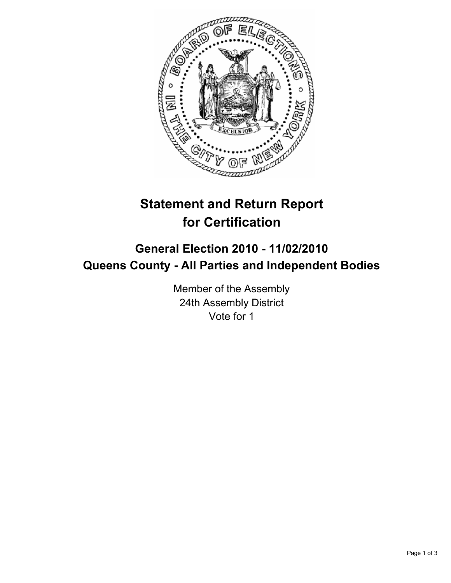

## **Statement and Return Report for Certification**

## **General Election 2010 - 11/02/2010 Queens County - All Parties and Independent Bodies**

Member of the Assembly 24th Assembly District Vote for 1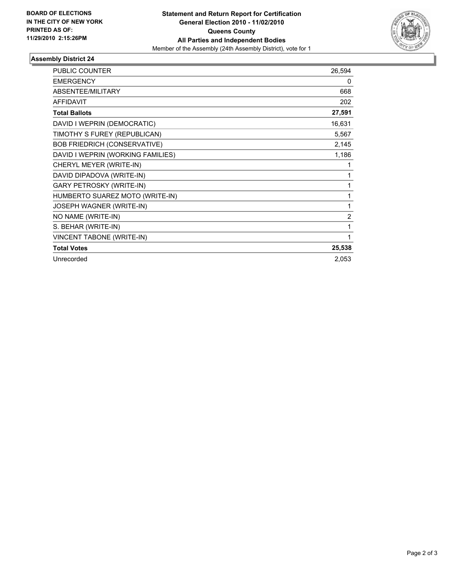

## **Assembly District 24**

| <b>PUBLIC COUNTER</b>               | 26,594         |
|-------------------------------------|----------------|
| <b>EMERGENCY</b>                    | 0              |
| <b>ABSENTEE/MILITARY</b>            | 668            |
| <b>AFFIDAVIT</b>                    | 202            |
| <b>Total Ballots</b>                | 27,591         |
| DAVID I WEPRIN (DEMOCRATIC)         | 16,631         |
| TIMOTHY S FUREY (REPUBLICAN)        | 5,567          |
| <b>BOB FRIEDRICH (CONSERVATIVE)</b> | 2,145          |
| DAVID I WEPRIN (WORKING FAMILIES)   | 1,186          |
| CHERYL MEYER (WRITE-IN)             | 1              |
| DAVID DIPADOVA (WRITE-IN)           | 1              |
| <b>GARY PETROSKY (WRITE-IN)</b>     | 1              |
| HUMBERTO SUAREZ MOTO (WRITE-IN)     | 1              |
| JOSEPH WAGNER (WRITE-IN)            | 1              |
| NO NAME (WRITE-IN)                  | $\overline{c}$ |
| S. BEHAR (WRITE-IN)                 | 1              |
| <b>VINCENT TABONE (WRITE-IN)</b>    | 1              |
| <b>Total Votes</b>                  | 25,538         |
| Unrecorded                          | 2,053          |